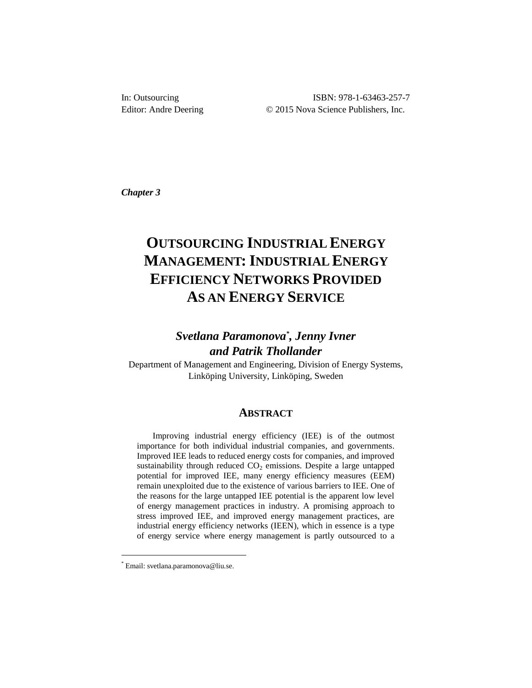ISBN: 978-1-63463-257-7 Editor: Andre Deering © 2015 Nova Science Publishers, Inc.

*Chapter 3*

# **OUTSOURCING INDUSTRIAL ENERGY MANAGEMENT: INDUSTRIAL ENERGY EFFICIENCY NETWORKS PROVIDED AS AN ENERGY SERVICE**

# *Svetlana Paramonova\* , Jenny Ivner and Patrik Thollander*

Department of Management and Engineering, Division of Energy Systems, Linköping University, Linköping, Sweden

### **ABSTRACT**

Improving industrial energy efficiency (IEE) is of the outmost importance for both individual industrial companies, and governments. Improved IEE leads to reduced energy costs for companies, and improved sustainability through reduced  $CO<sub>2</sub>$  emissions. Despite a large untapped potential for improved IEE, many energy efficiency measures (EEM) remain unexploited due to the existence of various barriers to IEE. One of the reasons for the large untapped IEE potential is the apparent low level of energy management practices in industry. A promising approach to stress improved IEE, and improved energy management practices, are industrial energy efficiency networks (IEEN), which in essence is a type of energy service where energy management is partly outsourced to a

l

<sup>\*</sup> Email: svetlana.paramonova@liu.se.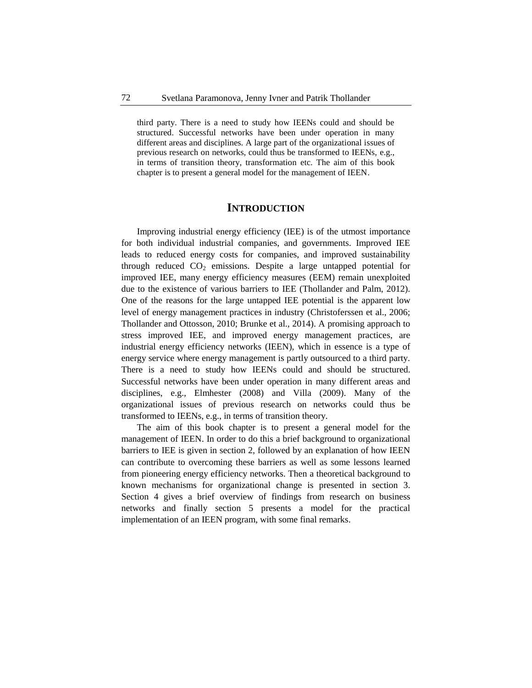third party. There is a need to study how IEENs could and should be structured. Successful networks have been under operation in many different areas and disciplines. A large part of the organizational issues of previous research on networks, could thus be transformed to IEENs, e.g., in terms of transition theory, transformation etc. The aim of this book chapter is to present a general model for the management of IEEN.

# **INTRODUCTION**

Improving industrial energy efficiency (IEE) is of the utmost importance for both individual industrial companies, and governments. Improved IEE leads to reduced energy costs for companies, and improved sustainability through reduced  $CO<sub>2</sub>$  emissions. Despite a large untapped potential for improved IEE, many energy efficiency measures (EEM) remain unexploited due to the existence of various barriers to IEE (Thollander and Palm, 2012). One of the reasons for the large untapped IEE potential is the apparent low level of energy management practices in industry (Christoferssen et al., 2006; Thollander and Ottosson, 2010; Brunke et al., 2014). A promising approach to stress improved IEE, and improved energy management practices, are industrial energy efficiency networks (IEEN), which in essence is a type of energy service where energy management is partly outsourced to a third party. There is a need to study how IEENs could and should be structured. Successful networks have been under operation in many different areas and disciplines, e.g., Elmhester (2008) and Villa (2009). Many of the organizational issues of previous research on networks could thus be transformed to IEENs, e.g., in terms of transition theory.

The aim of this book chapter is to present a general model for the management of IEEN. In order to do this a brief background to organizational barriers to IEE is given in section 2, followed by an explanation of how IEEN can contribute to overcoming these barriers as well as some lessons learned from pioneering energy efficiency networks. Then a theoretical background to known mechanisms for organizational change is presented in section 3. Section 4 gives a brief overview of findings from research on business networks and finally section 5 presents a model for the practical implementation of an IEEN program, with some final remarks.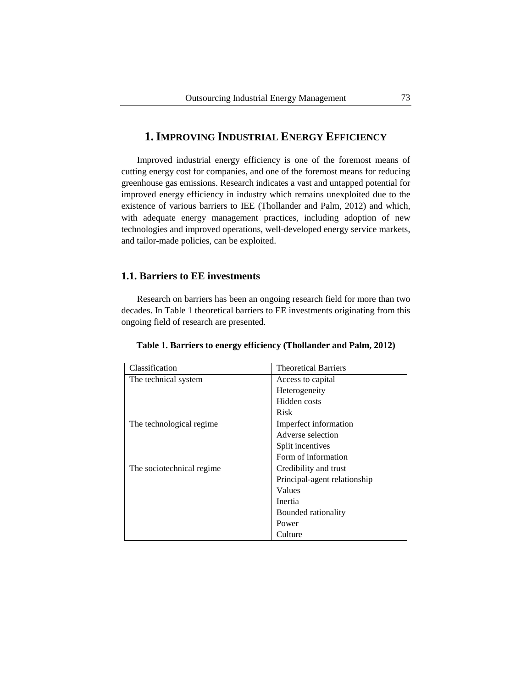# **1.IMPROVING INDUSTRIAL ENERGY EFFICIENCY**

Improved industrial energy efficiency is one of the foremost means of cutting energy cost for companies, and one of the foremost means for reducing greenhouse gas emissions. Research indicates a vast and untapped potential for improved energy efficiency in industry which remains unexploited due to the existence of various barriers to IEE (Thollander and Palm, 2012) and which, with adequate energy management practices, including adoption of new technologies and improved operations, well-developed energy service markets, and tailor-made policies, can be exploited.

# **1.1. Barriers to EE investments**

Research on barriers has been an ongoing research field for more than two decades. In Table 1 theoretical barriers to EE investments originating from this ongoing field of research are presented.

| Classification             | <b>Theoretical Barriers</b>  |
|----------------------------|------------------------------|
| The technical system       | Access to capital            |
|                            | Heterogeneity                |
|                            | Hidden costs                 |
|                            | <b>Risk</b>                  |
| The technological regime   | Imperfect information        |
|                            | Adverse selection            |
|                            | Split incentives             |
|                            | Form of information          |
| The sociotechnical regime. | Credibility and trust        |
|                            | Principal-agent relationship |
|                            | Values                       |
|                            | Inertia                      |
|                            | Bounded rationality          |
|                            | Power                        |
|                            | Culture                      |

**Table 1. Barriers to energy efficiency (Thollander and Palm, 2012)**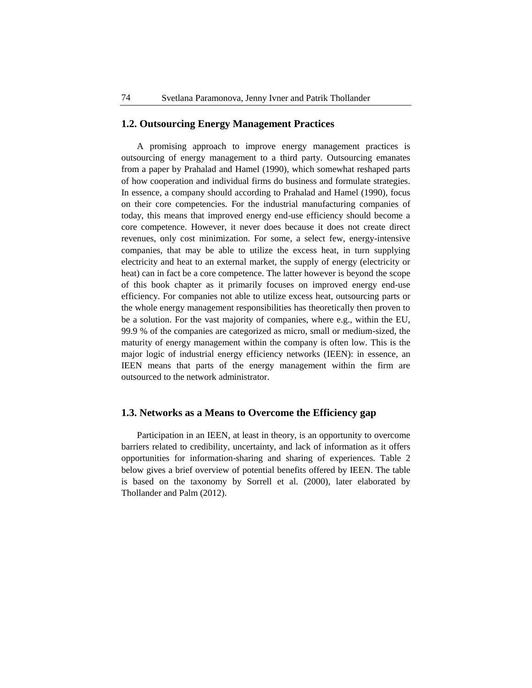# **1.2. Outsourcing Energy Management Practices**

A promising approach to improve energy management practices is outsourcing of energy management to a third party. Outsourcing emanates from a paper by Prahalad and Hamel (1990), which somewhat reshaped parts of how cooperation and individual firms do business and formulate strategies. In essence, a company should according to Prahalad and Hamel (1990), focus on their core competencies. For the industrial manufacturing companies of today, this means that improved energy end-use efficiency should become a core competence. However, it never does because it does not create direct revenues, only cost minimization. For some, a select few, energy-intensive companies, that may be able to utilize the excess heat, in turn supplying electricity and heat to an external market, the supply of energy (electricity or heat) can in fact be a core competence. The latter however is beyond the scope of this book chapter as it primarily focuses on improved energy end-use efficiency. For companies not able to utilize excess heat, outsourcing parts or the whole energy management responsibilities has theoretically then proven to be a solution. For the vast majority of companies, where e.g., within the EU, 99.9 % of the companies are categorized as micro, small or medium-sized, the maturity of energy management within the company is often low. This is the major logic of industrial energy efficiency networks (IEEN): in essence, an IEEN means that parts of the energy management within the firm are outsourced to the network administrator.

### **1.3. Networks as a Means to Overcome the Efficiency gap**

Participation in an IEEN, at least in theory, is an opportunity to overcome barriers related to credibility, uncertainty, and lack of information as it offers opportunities for information-sharing and sharing of experiences. Table 2 below gives a brief overview of potential benefits offered by IEEN. The table is based on the taxonomy by Sorrell et al. (2000), later elaborated by Thollander and Palm (2012).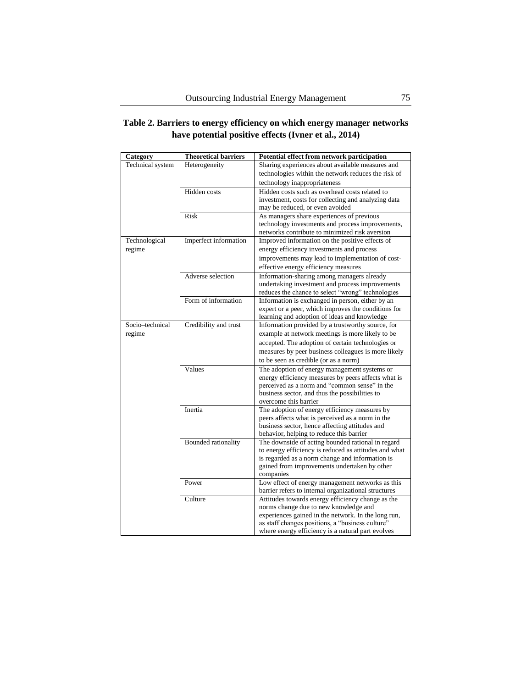# **Table 2. Barriers to energy efficiency on which energy manager networks have potential positive effects (Ivner et al., 2014)**

| Category         | <b>Theoretical barriers</b> | Potential effect from network participation                                                              |
|------------------|-----------------------------|----------------------------------------------------------------------------------------------------------|
| Technical system | Heterogeneity               | Sharing experiences about available measures and                                                         |
|                  |                             | technologies within the network reduces the risk of                                                      |
|                  |                             | technology inappropriateness                                                                             |
|                  | Hidden costs                | Hidden costs such as overhead costs related to                                                           |
|                  |                             | investment, costs for collecting and analyzing data                                                      |
|                  |                             | may be reduced, or even avoided                                                                          |
|                  | Risk                        | As managers share experiences of previous                                                                |
|                  |                             | technology investments and process improvements,                                                         |
|                  |                             | networks contribute to minimized risk aversion                                                           |
| Technological    | Imperfect information       | Improved information on the positive effects of                                                          |
| regime           |                             | energy efficiency investments and process                                                                |
|                  |                             | improvements may lead to implementation of cost-                                                         |
|                  |                             | effective energy efficiency measures                                                                     |
|                  | Adverse selection           | Information-sharing among managers already                                                               |
|                  |                             | undertaking investment and process improvements                                                          |
|                  | Form of information         | reduces the chance to select "wrong" technologies                                                        |
|                  |                             | Information is exchanged in person, either by an<br>expert or a peer, which improves the conditions for  |
|                  |                             | learning and adoption of ideas and knowledge                                                             |
| Socio-technical  | Credibility and trust       | Information provided by a trustworthy source, for                                                        |
| regime           |                             | example at network meetings is more likely to be                                                         |
|                  |                             | accepted. The adoption of certain technologies or                                                        |
|                  |                             | measures by peer business colleagues is more likely                                                      |
|                  |                             | to be seen as credible (or as a norm)                                                                    |
|                  | Values                      | The adoption of energy management systems or                                                             |
|                  |                             | energy efficiency measures by peers affects what is                                                      |
|                  |                             | perceived as a norm and "common sense" in the                                                            |
|                  |                             | business sector, and thus the possibilities to                                                           |
|                  |                             | overcome this barrier                                                                                    |
|                  | Inertia                     | The adoption of energy efficiency measures by                                                            |
|                  |                             | peers affects what is perceived as a norm in the                                                         |
|                  |                             | business sector, hence affecting attitudes and                                                           |
|                  |                             | behavior, helping to reduce this barrier                                                                 |
|                  | <b>Bounded</b> rationality  | The downside of acting bounded rational in regard                                                        |
|                  |                             | to energy efficiency is reduced as attitudes and what                                                    |
|                  |                             | is regarded as a norm change and information is                                                          |
|                  |                             | gained from improvements undertaken by other                                                             |
|                  |                             | companies                                                                                                |
|                  | Power                       | Low effect of energy management networks as this<br>barrier refers to internal organizational structures |
|                  | Culture                     | Attitudes towards energy efficiency change as the                                                        |
|                  |                             | norms change due to new knowledge and                                                                    |
|                  |                             | experiences gained in the network. In the long run,                                                      |
|                  |                             | as staff changes positions, a "business culture"                                                         |
|                  |                             | where energy efficiency is a natural part evolves                                                        |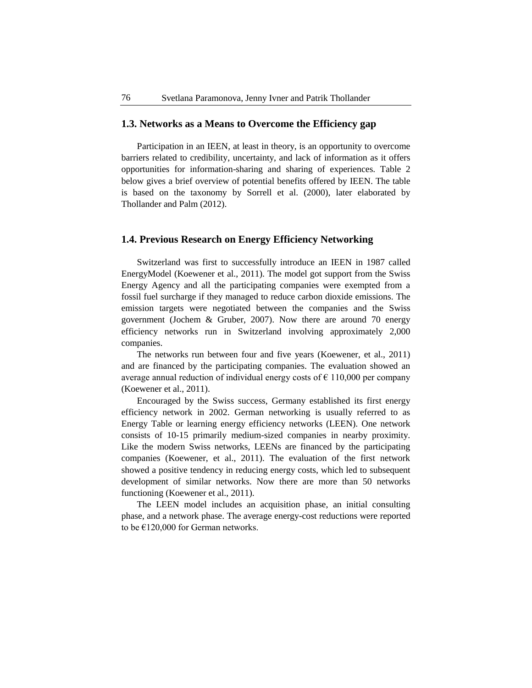### **1.3. Networks as a Means to Overcome the Efficiency gap**

Participation in an IEEN, at least in theory, is an opportunity to overcome barriers related to credibility, uncertainty, and lack of information as it offers opportunities for information-sharing and sharing of experiences. Table 2 below gives a brief overview of potential benefits offered by IEEN. The table is based on the taxonomy by Sorrell et al. (2000), later elaborated by Thollander and Palm (2012).

# **1.4. Previous Research on Energy Efficiency Networking**

Switzerland was first to successfully introduce an IEEN in 1987 called EnergyModel (Koewener et al., 2011). The model got support from the Swiss Energy Agency and all the participating companies were exempted from a fossil fuel surcharge if they managed to reduce carbon dioxide emissions. The emission targets were negotiated between the companies and the Swiss government (Jochem & Gruber, 2007). Now there are around 70 energy efficiency networks run in Switzerland involving approximately 2,000 companies.

The networks run between four and five years (Koewener, et al., 2011) and are financed by the participating companies. The evaluation showed an average annual reduction of individual energy costs of  $\epsilon$  110,000 per company (Koewener et al., 2011).

Encouraged by the Swiss success, Germany established its first energy efficiency network in 2002. German networking is usually referred to as Energy Table or learning energy efficiency networks (LEEN). One network consists of 10-15 primarily medium-sized companies in nearby proximity. Like the modern Swiss networks, LEENs are financed by the participating companies (Koewener, et al., 2011). The evaluation of the first network showed a positive tendency in reducing energy costs, which led to subsequent development of similar networks. Now there are more than 50 networks functioning (Koewener et al., 2011).

The LEEN model includes an acquisition phase, an initial consulting phase, and a network phase. The average energy-cost reductions were reported to be €120,000 for German networks.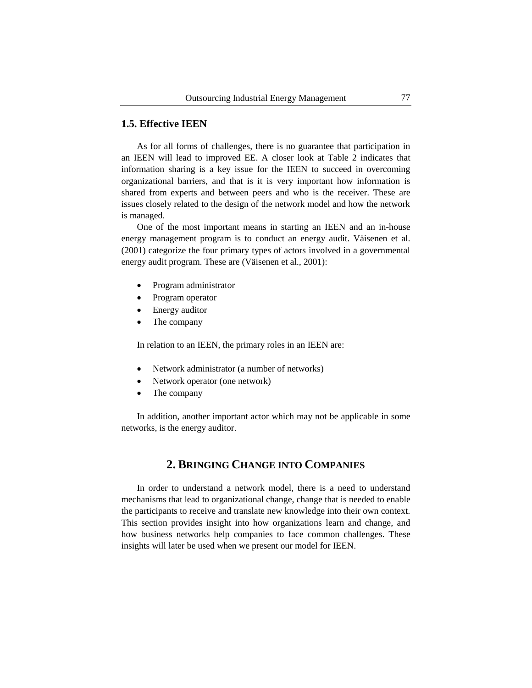# **1.5. Effective IEEN**

As for all forms of challenges, there is no guarantee that participation in an IEEN will lead to improved EE. A closer look at Table 2 indicates that information sharing is a key issue for the IEEN to succeed in overcoming organizational barriers, and that is it is very important how information is shared from experts and between peers and who is the receiver. These are issues closely related to the design of the network model and how the network is managed.

One of the most important means in starting an IEEN and an in-house energy management program is to conduct an energy audit. Väisenen et al. (2001) categorize the four primary types of actors involved in a governmental energy audit program. These are (Väisenen et al., 2001):

- Program administrator
- Program operator
- Energy auditor
- The company

In relation to an IEEN, the primary roles in an IEEN are:

- Network administrator (a number of networks)
- Network operator (one network)
- The company

In addition, another important actor which may not be applicable in some networks, is the energy auditor.

# **2. BRINGING CHANGE INTO COMPANIES**

In order to understand a network model, there is a need to understand mechanisms that lead to organizational change, change that is needed to enable the participants to receive and translate new knowledge into their own context. This section provides insight into how organizations learn and change, and how business networks help companies to face common challenges. These insights will later be used when we present our model for IEEN.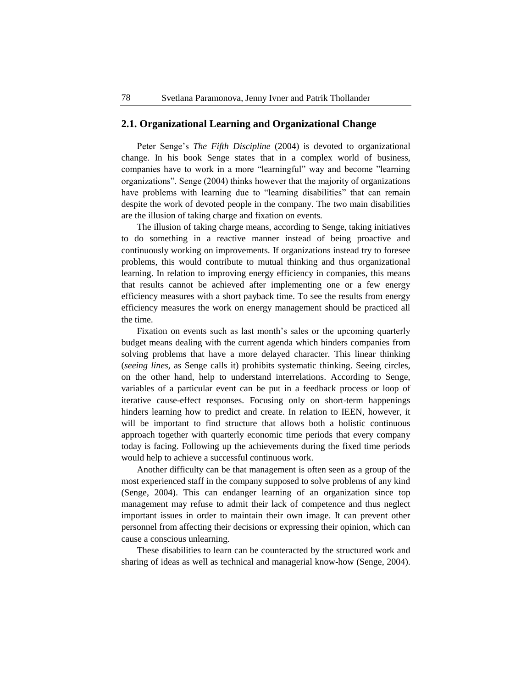# **2.1. Organizational Learning and Organizational Change**

Peter Senge's *The Fifth Discipline* (2004) is devoted to organizational change. In his book Senge states that in a complex world of business, companies have to work in a more "learningful" way and become "learning organizations". Senge (2004) thinks however that the majority of organizations have problems with learning due to "learning disabilities" that can remain despite the work of devoted people in the company. The two main disabilities are the illusion of taking charge and fixation on events*.*

The illusion of taking charge means, according to Senge, taking initiatives to do something in a reactive manner instead of being proactive and continuously working on improvements. If organizations instead try to foresee problems, this would contribute to mutual thinking and thus organizational learning. In relation to improving energy efficiency in companies, this means that results cannot be achieved after implementing one or a few energy efficiency measures with a short payback time. To see the results from energy efficiency measures the work on energy management should be practiced all the time.

Fixation on events such as last month's sales or the upcoming quarterly budget means dealing with the current agenda which hinders companies from solving problems that have a more delayed character. This linear thinking (*seeing lines*, as Senge calls it) prohibits systematic thinking. Seeing circles, on the other hand, help to understand interrelations. According to Senge, variables of a particular event can be put in a feedback process or loop of iterative cause-effect responses. Focusing only on short-term happenings hinders learning how to predict and create. In relation to IEEN, however, it will be important to find structure that allows both a holistic continuous approach together with quarterly economic time periods that every company today is facing. Following up the achievements during the fixed time periods would help to achieve a successful continuous work.

Another difficulty can be that management is often seen as a group of the most experienced staff in the company supposed to solve problems of any kind (Senge, 2004). This can endanger learning of an organization since top management may refuse to admit their lack of competence and thus neglect important issues in order to maintain their own image. It can prevent other personnel from affecting their decisions or expressing their opinion, which can cause a conscious unlearning.

These disabilities to learn can be counteracted by the structured work and sharing of ideas as well as technical and managerial know-how (Senge, 2004).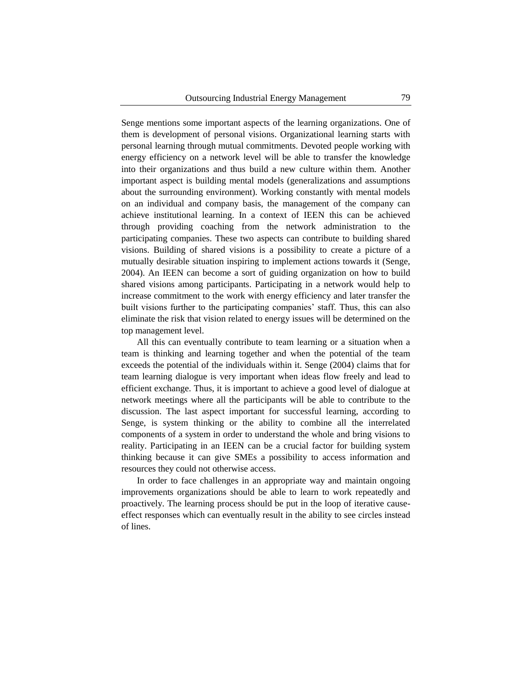Senge mentions some important aspects of the learning organizations. One of them is development of personal visions. Organizational learning starts with personal learning through mutual commitments. Devoted people working with energy efficiency on a network level will be able to transfer the knowledge into their organizations and thus build a new culture within them. Another important aspect is building mental models (generalizations and assumptions about the surrounding environment). Working constantly with mental models on an individual and company basis, the management of the company can achieve institutional learning. In a context of IEEN this can be achieved through providing coaching from the network administration to the participating companies. These two aspects can contribute to building shared visions. Building of shared visions is a possibility to create a picture of a mutually desirable situation inspiring to implement actions towards it (Senge, 2004). An IEEN can become a sort of guiding organization on how to build shared visions among participants. Participating in a network would help to increase commitment to the work with energy efficiency and later transfer the built visions further to the participating companies' staff. Thus, this can also eliminate the risk that vision related to energy issues will be determined on the top management level.

All this can eventually contribute to team learning or a situation when a team is thinking and learning together and when the potential of the team exceeds the potential of the individuals within it. Senge (2004) claims that for team learning dialogue is very important when ideas flow freely and lead to efficient exchange. Thus, it is important to achieve a good level of dialogue at network meetings where all the participants will be able to contribute to the discussion. The last aspect important for successful learning, according to Senge, is system thinking or the ability to combine all the interrelated components of a system in order to understand the whole and bring visions to reality. Participating in an IEEN can be a crucial factor for building system thinking because it can give SMEs a possibility to access information and resources they could not otherwise access.

In order to face challenges in an appropriate way and maintain ongoing improvements organizations should be able to learn to work repeatedly and proactively. The learning process should be put in the loop of iterative causeeffect responses which can eventually result in the ability to see circles instead of lines.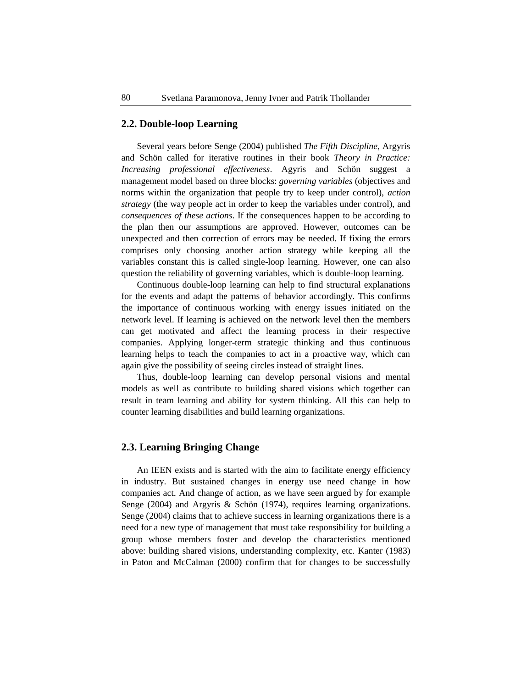### **2.2. Double-loop Learning**

Several years before Senge (2004) published *The Fifth Discipline*, Argyris and Schön called for iterative routines in their book *Theory in Practice: Increasing professional effectiveness*. Agyris and Schön suggest a management model based on three blocks: *governing variables* (objectives and norms within the organization that people try to keep under control), *action strategy* (the way people act in order to keep the variables under control), and *consequences of these actions*. If the consequences happen to be according to the plan then our assumptions are approved. However, outcomes can be unexpected and then correction of errors may be needed. If fixing the errors comprises only choosing another action strategy while keeping all the variables constant this is called single-loop learning. However, one can also question the reliability of governing variables, which is double-loop learning.

Continuous double-loop learning can help to find structural explanations for the events and adapt the patterns of behavior accordingly. This confirms the importance of continuous working with energy issues initiated on the network level. If learning is achieved on the network level then the members can get motivated and affect the learning process in their respective companies. Applying longer-term strategic thinking and thus continuous learning helps to teach the companies to act in a proactive way, which can again give the possibility of seeing circles instead of straight lines.

Thus, double-loop learning can develop personal visions and mental models as well as contribute to building shared visions which together can result in team learning and ability for system thinking. All this can help to counter learning disabilities and build learning organizations.

### **2.3. Learning Bringing Change**

An IEEN exists and is started with the aim to facilitate energy efficiency in industry. But sustained changes in energy use need change in how companies act. And change of action, as we have seen argued by for example Senge (2004) and Argyris & Schön (1974), requires learning organizations. Senge (2004) claims that to achieve success in learning organizations there is a need for a new type of management that must take responsibility for building a group whose members foster and develop the characteristics mentioned above: building shared visions, understanding complexity, etc. Kanter (1983) in Paton and McCalman (2000) confirm that for changes to be successfully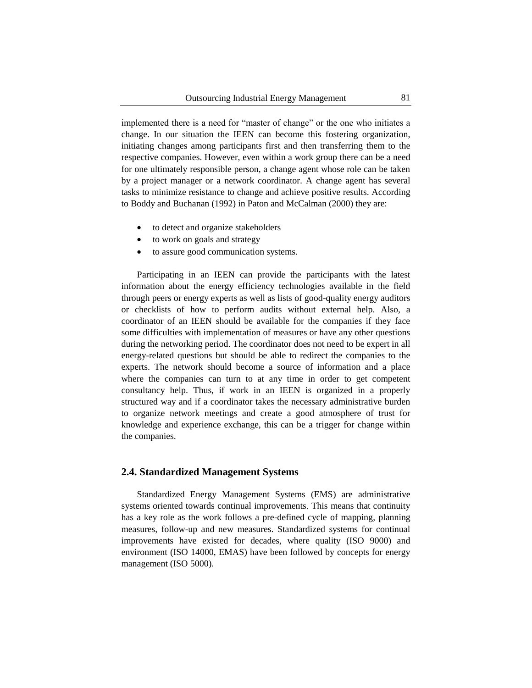implemented there is a need for "master of change" or the one who initiates a change. In our situation the IEEN can become this fostering organization, initiating changes among participants first and then transferring them to the respective companies. However, even within a work group there can be a need for one ultimately responsible person, a change agent whose role can be taken by a project manager or a network coordinator. A change agent has several tasks to minimize resistance to change and achieve positive results. According to Boddy and Buchanan (1992) in Paton and McCalman (2000) they are:

- to detect and organize stakeholders
- to work on goals and strategy
- to assure good communication systems.

Participating in an IEEN can provide the participants with the latest information about the energy efficiency technologies available in the field through peers or energy experts as well as lists of good-quality energy auditors or checklists of how to perform audits without external help. Also, a coordinator of an IEEN should be available for the companies if they face some difficulties with implementation of measures or have any other questions during the networking period. The coordinator does not need to be expert in all energy-related questions but should be able to redirect the companies to the experts. The network should become a source of information and a place where the companies can turn to at any time in order to get competent consultancy help. Thus, if work in an IEEN is organized in a properly structured way and if a coordinator takes the necessary administrative burden to organize network meetings and create a good atmosphere of trust for knowledge and experience exchange, this can be a trigger for change within the companies.

### **2.4. Standardized Management Systems**

Standardized Energy Management Systems (EMS) are administrative systems oriented towards continual improvements. This means that continuity has a key role as the work follows a pre-defined cycle of mapping, planning measures, follow-up and new measures. Standardized systems for continual improvements have existed for decades, where quality (ISO 9000) and environment (ISO 14000, EMAS) have been followed by concepts for energy management (ISO 5000).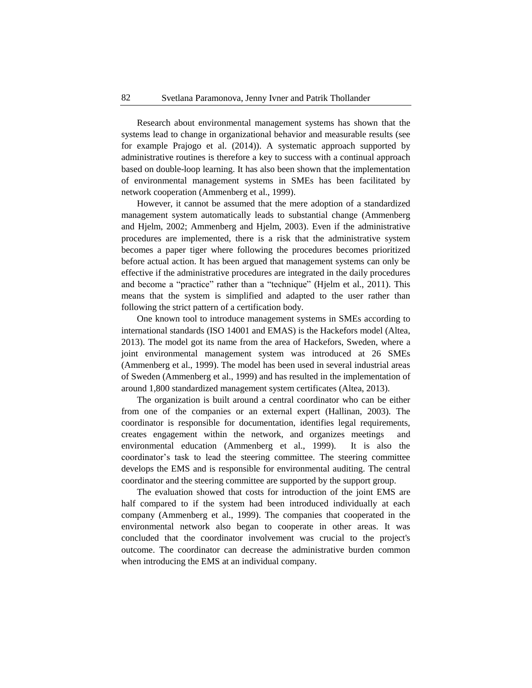Research about environmental management systems has shown that the systems lead to change in organizational behavior and measurable results (see for example Prajogo et al. (2014)). A systematic approach supported by administrative routines is therefore a key to success with a continual approach based on double-loop learning. It has also been shown that the implementation of environmental management systems in SMEs has been facilitated by network cooperation (Ammenberg et al., 1999).

However, it cannot be assumed that the mere adoption of a standardized management system automatically leads to substantial change (Ammenberg and Hjelm, 2002; Ammenberg and Hjelm, 2003). Even if the administrative procedures are implemented, there is a risk that the administrative system becomes a paper tiger where following the procedures becomes prioritized before actual action. It has been argued that management systems can only be effective if the administrative procedures are integrated in the daily procedures and become a "practice" rather than a "technique" (Hjelm et al., 2011). This means that the system is simplified and adapted to the user rather than following the strict pattern of a certification body.

One known tool to introduce management systems in SMEs according to international standards (ISO 14001 and EMAS) is the Hackefors model (Altea, 2013). The model got its name from the area of Hackefors, Sweden, where a joint environmental management system was introduced at 26 SMEs (Ammenberg et al., 1999). The model has been used in several industrial areas of Sweden (Ammenberg et al., 1999) and has resulted in the implementation of around 1,800 standardized management system certificates (Altea, 2013).

The organization is built around a central coordinator who can be either from one of the companies or an external expert (Hallinan, 2003). The coordinator is responsible for documentation, identifies legal requirements, creates engagement within the network, and organizes meetings and environmental education (Ammenberg et al., 1999). It is also the coordinator's task to lead the steering committee. The steering committee develops the EMS and is responsible for environmental auditing. The central coordinator and the steering committee are supported by the support group.

The evaluation showed that costs for introduction of the joint EMS are half compared to if the system had been introduced individually at each company (Ammenberg et al., 1999). The companies that cooperated in the environmental network also began to cooperate in other areas. It was concluded that the coordinator involvement was crucial to the project's outcome. The coordinator can decrease the administrative burden common when introducing the EMS at an individual company.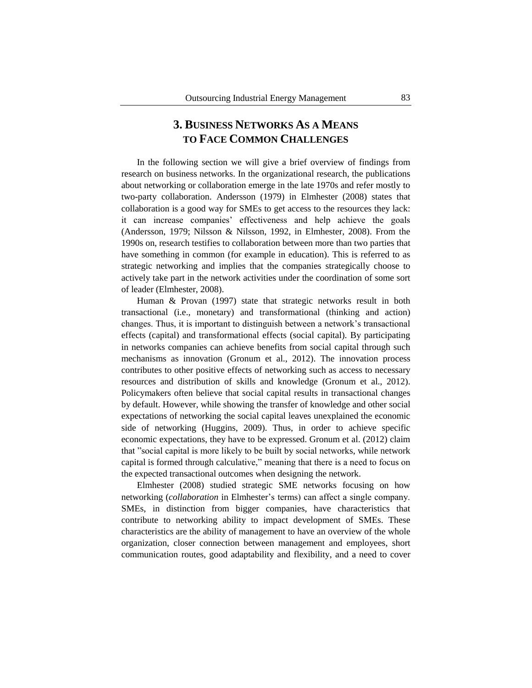# **3. BUSINESS NETWORKS AS A MEANS TO FACE COMMON CHALLENGES**

In the following section we will give a brief overview of findings from research on business networks. In the organizational research, the publications about networking or collaboration emerge in the late 1970s and refer mostly to two-party collaboration. Andersson (1979) in Elmhester (2008) states that collaboration is a good way for SMEs to get access to the resources they lack: it can increase companies' effectiveness and help achieve the goals (Andersson, 1979; Nilsson & Nilsson, 1992, in Elmhester, 2008). From the 1990s on, research testifies to collaboration between more than two parties that have something in common (for example in education). This is referred to as strategic networking and implies that the companies strategically choose to actively take part in the network activities under the coordination of some sort of leader (Elmhester, 2008).

Human & Provan (1997) state that strategic networks result in both transactional (i.e., monetary) and transformational (thinking and action) changes. Thus, it is important to distinguish between a network's transactional effects (capital) and transformational effects (social capital). By participating in networks companies can achieve benefits from social capital through such mechanisms as innovation (Gronum et al., 2012). The innovation process contributes to other positive effects of networking such as access to necessary resources and distribution of skills and knowledge (Gronum et al., 2012). Policymakers often believe that social capital results in transactional changes by default. However, while showing the transfer of knowledge and other social expectations of networking the social capital leaves unexplained the economic side of networking (Huggins, 2009). Thus, in order to achieve specific economic expectations, they have to be expressed. Gronum et al. (2012) claim that "social capital is more likely to be built by social networks, while network capital is formed through calculative," meaning that there is a need to focus on the expected transactional outcomes when designing the network.

Elmhester (2008) studied strategic SME networks focusing on how networking (*collaboration* in Elmhester's terms) can affect a single company. SMEs, in distinction from bigger companies, have characteristics that contribute to networking ability to impact development of SMEs. These characteristics are the ability of management to have an overview of the whole organization, closer connection between management and employees, short communication routes, good adaptability and flexibility, and a need to cover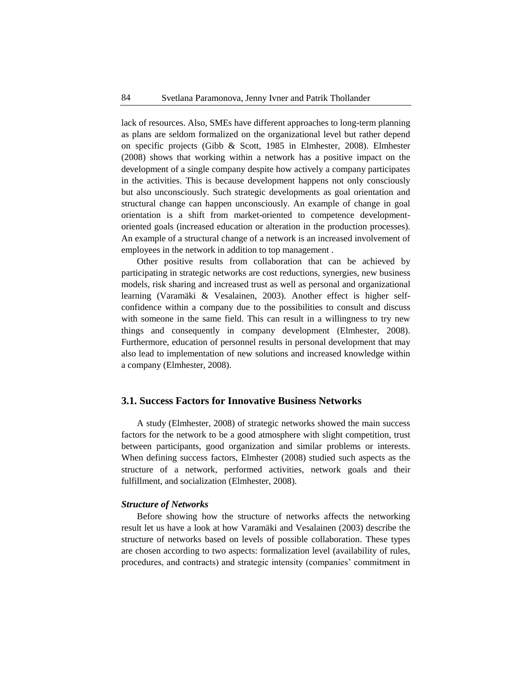lack of resources. Also, SMEs have different approaches to long-term planning as plans are seldom formalized on the organizational level but rather depend on specific projects (Gibb & Scott, 1985 in Elmhester, 2008). Elmhester (2008) shows that working within a network has a positive impact on the development of a single company despite how actively a company participates in the activities. This is because development happens not only consciously but also unconsciously. Such strategic developments as goal orientation and structural change can happen unconsciously. An example of change in goal orientation is a shift from market-oriented to competence developmentoriented goals (increased education or alteration in the production processes). An example of a structural change of a network is an increased involvement of employees in the network in addition to top management .

Other positive results from collaboration that can be achieved by participating in strategic networks are cost reductions, synergies, new business models, risk sharing and increased trust as well as personal and organizational learning (Varamäki & Vesalainen, 2003). Another effect is higher selfconfidence within a company due to the possibilities to consult and discuss with someone in the same field. This can result in a willingness to try new things and consequently in company development (Elmhester, 2008). Furthermore, education of personnel results in personal development that may also lead to implementation of new solutions and increased knowledge within a company (Elmhester, 2008).

### **3.1. Success Factors for Innovative Business Networks**

A study (Elmhester, 2008) of strategic networks showed the main success factors for the network to be a good atmosphere with slight competition, trust between participants, good organization and similar problems or interests. When defining success factors, Elmhester (2008) studied such aspects as the structure of a network, performed activities, network goals and their fulfillment, and socialization (Elmhester, 2008).

#### *Structure of Networks*

Before showing how the structure of networks affects the networking result let us have a look at how Varamäki and Vesalainen (2003) describe the structure of networks based on levels of possible collaboration. These types are chosen according to two aspects: formalization level (availability of rules, procedures, and contracts) and strategic intensity (companies' commitment in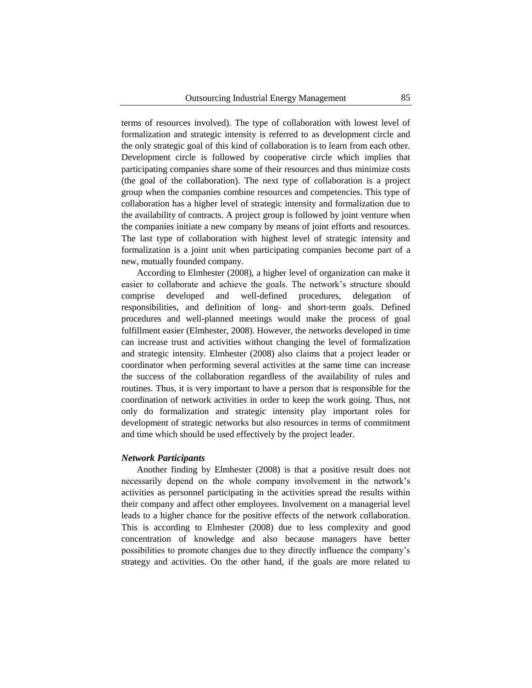terms of resources involved). The type of collaboration with lowest level of formalization and strategic intensity is referred to as development circle and the only strategic goal of this kind of collaboration is to learn from each other. Development circle is followed by cooperative circle which implies that participating companies share some of their resources and thus minimize costs (the goal of the collaboration). The next type of collaboration is a project group when the companies combine resources and competencies. This type of collaboration has a higher level of strategic intensity and formalization due to the availability of contracts. A project group is followed by joint venture when the companies initiate a new company by means of joint efforts and resources. The last type of collaboration with highest level of strategic intensity and formalization is a joint unit when participating companies become part of a new, mutually founded company.

According to Elmhester (2008), a higher level of organization can make it easier to collaborate and achieve the goals. The network's structure should comprise developed and well-defined procedures, delegation of responsibilities, and definition of long- and short-term goals. Defined procedures and well-planned meetings would make the process of goal fulfillment easier (Elmhester, 2008). However, the networks developed in time can increase trust and activities without changing the level of formalization and strategic intensity. Elmhester (2008) also claims that a project leader or coordinator when performing several activities at the same time can increase the success of the collaboration regardless of the availability of rules and routines. Thus, it is very important to have a person that is responsible for the coordination of network activities in order to keep the work going. Thus, not only do formalization and strategic intensity play important roles for development of strategic networks but also resources in terms of commitment and time which should be used effectively by the project leader.

### *Network Participants*

Another finding by Elmhester (2008) is that a positive result does not necessarily depend on the whole company involvement in the network's activities as personnel participating in the activities spread the results within their company and affect other employees. Involvement on a managerial level leads to a higher chance for the positive effects of the network collaboration. This is according to Elmhester (2008) due to less complexity and good concentration of knowledge and also because managers have better possibilities to promote changes due to they directly influence the company's strategy and activities. On the other hand, if the goals are more related to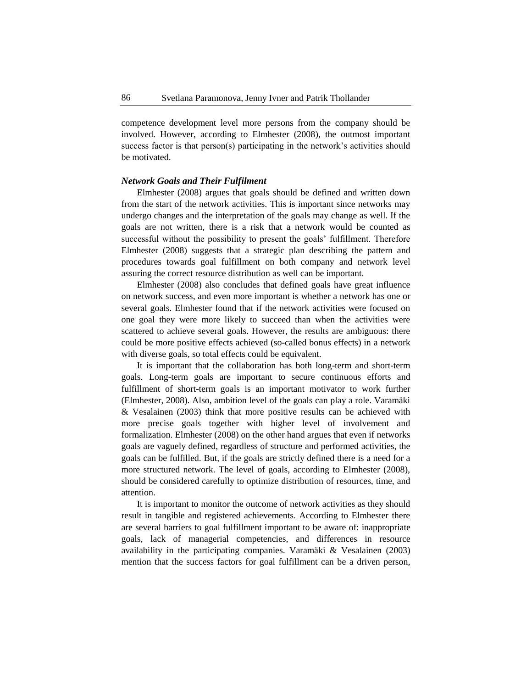competence development level more persons from the company should be involved. However, according to Elmhester (2008), the outmost important success factor is that person(s) participating in the network's activities should be motivated.

### *Network Goals and Their Fulfilment*

Elmhester (2008) argues that goals should be defined and written down from the start of the network activities. This is important since networks may undergo changes and the interpretation of the goals may change as well. If the goals are not written, there is a risk that a network would be counted as successful without the possibility to present the goals' fulfillment. Therefore Elmhester (2008) suggests that a strategic plan describing the pattern and procedures towards goal fulfillment on both company and network level assuring the correct resource distribution as well can be important.

Elmhester (2008) also concludes that defined goals have great influence on network success, and even more important is whether a network has one or several goals. Elmhester found that if the network activities were focused on one goal they were more likely to succeed than when the activities were scattered to achieve several goals. However, the results are ambiguous: there could be more positive effects achieved (so-called bonus effects) in a network with diverse goals, so total effects could be equivalent.

It is important that the collaboration has both long-term and short-term goals. Long-term goals are important to secure continuous efforts and fulfillment of short-term goals is an important motivator to work further (Elmhester, 2008). Also, ambition level of the goals can play a role. Varamäki & Vesalainen (2003) think that more positive results can be achieved with more precise goals together with higher level of involvement and formalization. Elmhester (2008) on the other hand argues that even if networks goals are vaguely defined, regardless of structure and performed activities, the goals can be fulfilled. But, if the goals are strictly defined there is a need for a more structured network. The level of goals, according to Elmhester (2008), should be considered carefully to optimize distribution of resources, time, and attention.

It is important to monitor the outcome of network activities as they should result in tangible and registered achievements. According to Elmhester there are several barriers to goal fulfillment important to be aware of: inappropriate goals, lack of managerial competencies, and differences in resource availability in the participating companies. Varamäki & Vesalainen (2003) mention that the success factors for goal fulfillment can be a driven person,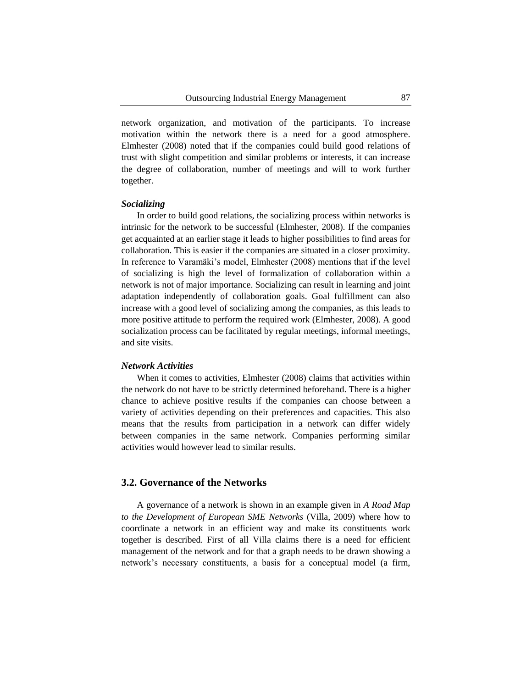network organization, and motivation of the participants. To increase motivation within the network there is a need for a good atmosphere. Elmhester (2008) noted that if the companies could build good relations of trust with slight competition and similar problems or interests, it can increase the degree of collaboration, number of meetings and will to work further together.

#### *Socializing*

In order to build good relations, the socializing process within networks is intrinsic for the network to be successful (Elmhester, 2008). If the companies get acquainted at an earlier stage it leads to higher possibilities to find areas for collaboration. This is easier if the companies are situated in a closer proximity. In reference to Varamäki's model, Elmhester (2008) mentions that if the level of socializing is high the level of formalization of collaboration within a network is not of major importance. Socializing can result in learning and joint adaptation independently of collaboration goals. Goal fulfillment can also increase with a good level of socializing among the companies, as this leads to more positive attitude to perform the required work (Elmhester, 2008). A good socialization process can be facilitated by regular meetings, informal meetings, and site visits.

#### *Network Activities*

When it comes to activities, Elmhester (2008) claims that activities within the network do not have to be strictly determined beforehand. There is a higher chance to achieve positive results if the companies can choose between a variety of activities depending on their preferences and capacities. This also means that the results from participation in a network can differ widely between companies in the same network. Companies performing similar activities would however lead to similar results.

# **3.2. Governance of the Networks**

A governance of a network is shown in an example given in *A Road Map to the Development of European SME Networks* (Villa, 2009) where how to coordinate a network in an efficient way and make its constituents work together is described. First of all Villa claims there is a need for efficient management of the network and for that a graph needs to be drawn showing a network's necessary constituents, a basis for a conceptual model (a firm,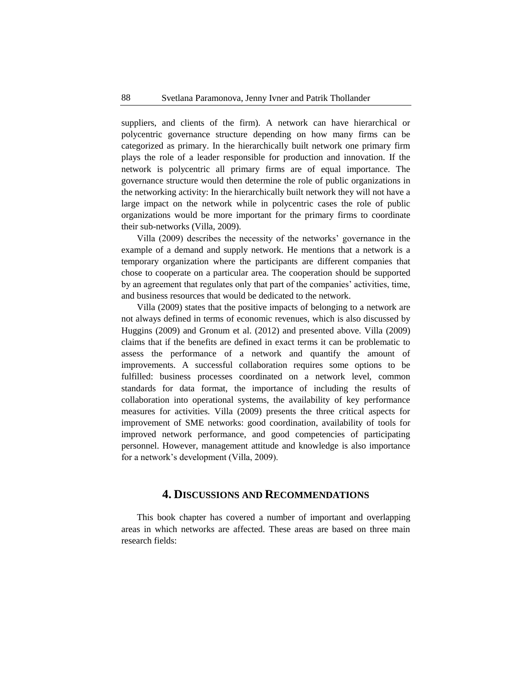suppliers, and clients of the firm). A network can have hierarchical or polycentric governance structure depending on how many firms can be categorized as primary. In the hierarchically built network one primary firm plays the role of a leader responsible for production and innovation. If the network is polycentric all primary firms are of equal importance. The governance structure would then determine the role of public organizations in the networking activity: In the hierarchically built network they will not have a large impact on the network while in polycentric cases the role of public organizations would be more important for the primary firms to coordinate their sub-networks (Villa, 2009).

Villa (2009) describes the necessity of the networks' governance in the example of a demand and supply network. He mentions that a network is a temporary organization where the participants are different companies that chose to cooperate on a particular area. The cooperation should be supported by an agreement that regulates only that part of the companies' activities, time, and business resources that would be dedicated to the network.

Villa (2009) states that the positive impacts of belonging to a network are not always defined in terms of economic revenues, which is also discussed by Huggins (2009) and Gronum et al. (2012) and presented above. Villa (2009) claims that if the benefits are defined in exact terms it can be problematic to assess the performance of a network and quantify the amount of improvements. A successful collaboration requires some options to be fulfilled: business processes coordinated on a network level, common standards for data format, the importance of including the results of collaboration into operational systems, the availability of key performance measures for activities. Villa (2009) presents the three critical aspects for improvement of SME networks: good coordination, availability of tools for improved network performance, and good competencies of participating personnel. However, management attitude and knowledge is also importance for a network's development (Villa, 2009).

# **4. DISCUSSIONS AND RECOMMENDATIONS**

This book chapter has covered a number of important and overlapping areas in which networks are affected. These areas are based on three main research fields: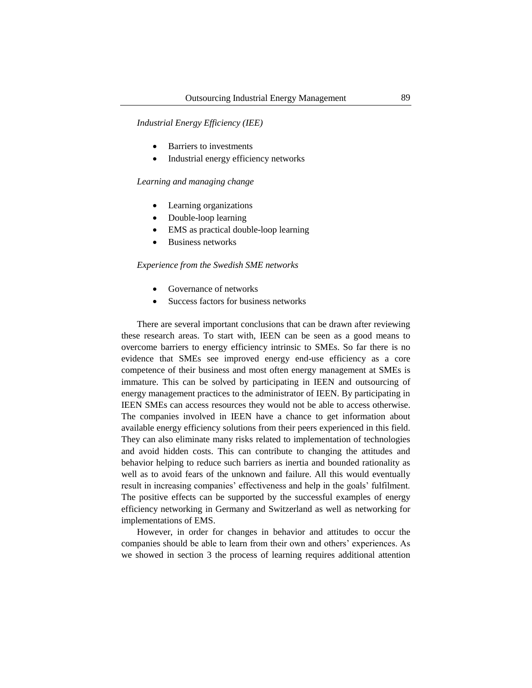*Industrial Energy Efficiency (IEE)*

- Barriers to investments
- Industrial energy efficiency networks

### *Learning and managing change*

- Learning organizations
- Double-loop learning
- EMS as practical double-loop learning
- Business networks

#### *Experience from the Swedish SME networks*

- Governance of networks
- Success factors for business networks

There are several important conclusions that can be drawn after reviewing these research areas. To start with, IEEN can be seen as a good means to overcome barriers to energy efficiency intrinsic to SMEs. So far there is no evidence that SMEs see improved energy end-use efficiency as a core competence of their business and most often energy management at SMEs is immature. This can be solved by participating in IEEN and outsourcing of energy management practices to the administrator of IEEN. By participating in IEEN SMEs can access resources they would not be able to access otherwise. The companies involved in IEEN have a chance to get information about available energy efficiency solutions from their peers experienced in this field. They can also eliminate many risks related to implementation of technologies and avoid hidden costs. This can contribute to changing the attitudes and behavior helping to reduce such barriers as inertia and bounded rationality as well as to avoid fears of the unknown and failure. All this would eventually result in increasing companies' effectiveness and help in the goals' fulfilment. The positive effects can be supported by the successful examples of energy efficiency networking in Germany and Switzerland as well as networking for implementations of EMS.

However, in order for changes in behavior and attitudes to occur the companies should be able to learn from their own and others' experiences. As we showed in section 3 the process of learning requires additional attention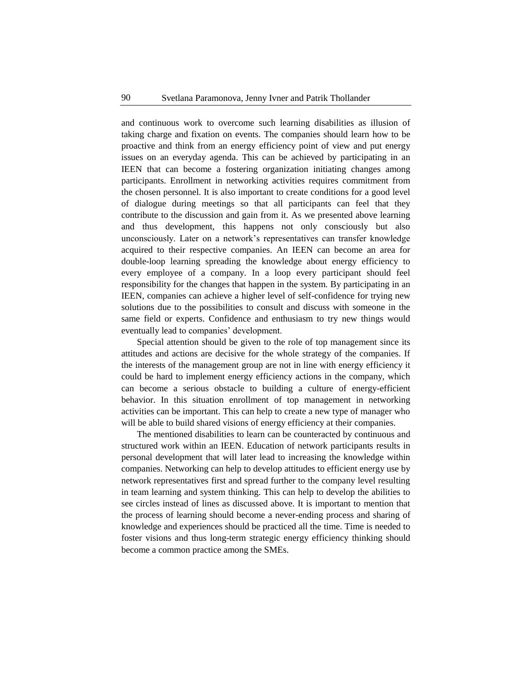and continuous work to overcome such learning disabilities as illusion of taking charge and fixation on events. The companies should learn how to be proactive and think from an energy efficiency point of view and put energy issues on an everyday agenda. This can be achieved by participating in an IEEN that can become a fostering organization initiating changes among participants. Enrollment in networking activities requires commitment from the chosen personnel. It is also important to create conditions for a good level of dialogue during meetings so that all participants can feel that they contribute to the discussion and gain from it. As we presented above learning and thus development, this happens not only consciously but also unconsciously. Later on a network's representatives can transfer knowledge acquired to their respective companies. An IEEN can become an area for double-loop learning spreading the knowledge about energy efficiency to every employee of a company. In a loop every participant should feel responsibility for the changes that happen in the system. By participating in an IEEN, companies can achieve a higher level of self-confidence for trying new solutions due to the possibilities to consult and discuss with someone in the same field or experts. Confidence and enthusiasm to try new things would eventually lead to companies' development.

Special attention should be given to the role of top management since its attitudes and actions are decisive for the whole strategy of the companies. If the interests of the management group are not in line with energy efficiency it could be hard to implement energy efficiency actions in the company, which can become a serious obstacle to building a culture of energy-efficient behavior. In this situation enrollment of top management in networking activities can be important. This can help to create a new type of manager who will be able to build shared visions of energy efficiency at their companies.

The mentioned disabilities to learn can be counteracted by continuous and structured work within an IEEN. Education of network participants results in personal development that will later lead to increasing the knowledge within companies. Networking can help to develop attitudes to efficient energy use by network representatives first and spread further to the company level resulting in team learning and system thinking. This can help to develop the abilities to see circles instead of lines as discussed above. It is important to mention that the process of learning should become a never-ending process and sharing of knowledge and experiences should be practiced all the time. Time is needed to foster visions and thus long-term strategic energy efficiency thinking should become a common practice among the SMEs.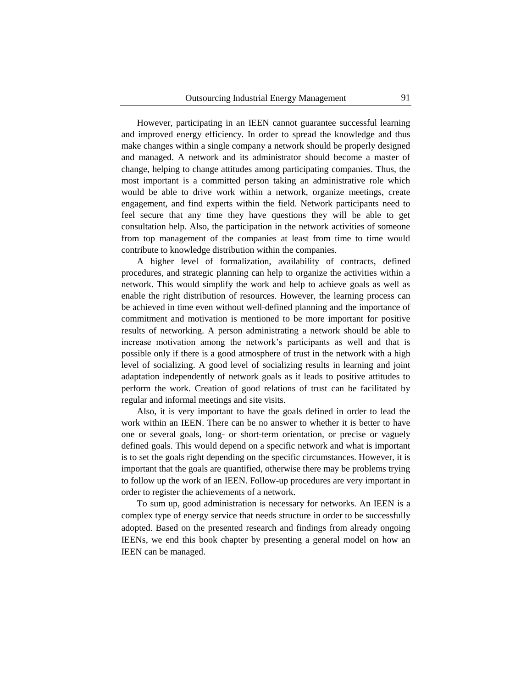However, participating in an IEEN cannot guarantee successful learning and improved energy efficiency. In order to spread the knowledge and thus make changes within a single company a network should be properly designed and managed. A network and its administrator should become a master of change, helping to change attitudes among participating companies. Thus, the most important is a committed person taking an administrative role which would be able to drive work within a network, organize meetings, create engagement, and find experts within the field. Network participants need to feel secure that any time they have questions they will be able to get consultation help. Also, the participation in the network activities of someone from top management of the companies at least from time to time would contribute to knowledge distribution within the companies.

A higher level of formalization, availability of contracts, defined procedures, and strategic planning can help to organize the activities within a network. This would simplify the work and help to achieve goals as well as enable the right distribution of resources. However, the learning process can be achieved in time even without well-defined planning and the importance of commitment and motivation is mentioned to be more important for positive results of networking. A person administrating a network should be able to increase motivation among the network's participants as well and that is possible only if there is a good atmosphere of trust in the network with a high level of socializing. A good level of socializing results in learning and joint adaptation independently of network goals as it leads to positive attitudes to perform the work. Creation of good relations of trust can be facilitated by regular and informal meetings and site visits.

Also, it is very important to have the goals defined in order to lead the work within an IEEN. There can be no answer to whether it is better to have one or several goals, long- or short-term orientation, or precise or vaguely defined goals. This would depend on a specific network and what is important is to set the goals right depending on the specific circumstances. However, it is important that the goals are quantified, otherwise there may be problems trying to follow up the work of an IEEN. Follow-up procedures are very important in order to register the achievements of a network.

To sum up, good administration is necessary for networks. An IEEN is a complex type of energy service that needs structure in order to be successfully adopted. Based on the presented research and findings from already ongoing IEENs, we end this book chapter by presenting a general model on how an IEEN can be managed.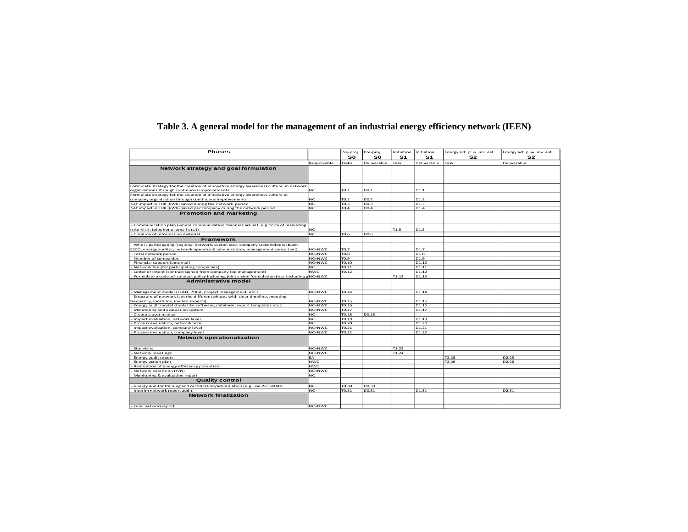| <b>Phases</b>                                                                                   |               | re-proj | re-proj     | nitiation | nitiation         | nergy act. pl w. inv. est. | inergy act. pl w. inv. est. |
|-------------------------------------------------------------------------------------------------|---------------|---------|-------------|-----------|-------------------|----------------------------|-----------------------------|
|                                                                                                 |               | S0      | S0          | <b>S1</b> | S <sub>1</sub>    | S2                         | S2                          |
|                                                                                                 | Responsible   | asks    | Deliverable | 'ask      | Deliverable       | ask                        | Deliverable                 |
|                                                                                                 |               |         |             |           |                   |                            |                             |
| Network strategy and goal formulation                                                           |               |         |             |           |                   |                            |                             |
|                                                                                                 |               |         |             |           |                   |                            |                             |
|                                                                                                 |               |         |             |           |                   |                            |                             |
| Formulate strategy for the creation of innovative energy awareness culture in network           |               |         |             |           |                   |                            |                             |
| organisations through continuous improvements                                                   | NC.           | TO.1    | DO.1        |           | D1.1              |                            |                             |
| Formulate strategy for the creation of innovative energy awareness culture in                   |               |         |             |           |                   |                            |                             |
| company organisation through continuous improvements                                            |               | TO.2    | DO.2        |           | D1.2              |                            |                             |
| Set impact in EUR (kWh) saved during the network period                                         | <b>NC</b>     | TO.3    | DO.3        |           | D1.3              |                            |                             |
| Set impact in EUR (kWh) saved per company during the network period                             | NIC           | TO.4    | DO.4        |           | D1.4              |                            |                             |
| <b>Promotion and marketing</b>                                                                  |               |         |             |           |                   |                            |                             |
| - Communication plan (where communication channels are set, e.g. form of marketing              |               |         |             |           |                   |                            |                             |
| (site-visit, telephone, email etc.))                                                            |               |         |             | T1.5      | D1.5              |                            |                             |
| - Creation of information material                                                              | NC.           | TO.6    | DO.6        |           |                   |                            |                             |
| Framework                                                                                       |               |         |             |           |                   |                            |                             |
| - Who is participating (regional network, sector, size, company stakeholders (bank,             |               |         |             |           |                   |                            |                             |
| ESCO, energy auditor, network operator & administrator, management consultant)                  | NC+NWC        | TO.7    |             |           | D1.7              |                            |                             |
| - Total network period                                                                          | NC+NWC        | TO.8    |             |           | D <sub>1.8</sub>  |                            |                             |
| - Number of companies                                                                           | NC+NWC        | FO.9    |             |           | D <sub>1.9</sub>  |                            |                             |
| - Financial support (external)                                                                  | <b>VC+NWC</b> | TO.10   |             |           | D1.10             |                            |                             |
| - Network fee (for participating companies)                                                     |               | TO.11   |             |           | D1.11             |                            |                             |
| - Letter of Intent (contract signed from company top management)                                | <b>NWC</b>    | TO.12   |             |           | D1.12             |                            |                             |
| - Formulate a code-of-conduct policy including joint vision formulation (e.g. including gNC+NWC |               |         |             | T1.13     | D1.13             |                            |                             |
| <b>Administrative model</b>                                                                     |               |         |             |           |                   |                            |                             |
| - Management model (LEAN, PDCA, project management, etc.)                                       | NC+NWC        | TO.14   |             |           | D1.14             |                            |                             |
| - Structure of network (set the different phases with clear timeline, meeting                   |               |         |             |           |                   |                            |                             |
| frequency, locations, invited experts)                                                          | NC+NWC        | TO. 15  |             |           | D1.15             |                            |                             |
| - Energy audit model (tools like software, database, report templates etc.)                     | NC+NWC        | TO.16   |             |           | D1.16             |                            |                             |
| - Monitoring and evaluation system                                                              | NC+NWC        | TO.17   |             |           | D1.17             |                            |                             |
| - Create a user manual                                                                          | ЧC            | TO.18   | DO.18       |           |                   |                            |                             |
| - Impact evaluation, network level                                                              | NC.           | TO.19   |             |           | D1.19             |                            |                             |
| - Process evaluation, network level                                                             | N.C.          | TO.20   |             |           | D <sub>1.20</sub> |                            |                             |
| - Impact evaluation, company level                                                              | NC+NWC        | TO.21   |             |           | D1.21             |                            |                             |
| - Process evaluation, company level                                                             | NC+NWC        | TO.22   |             |           | D1.22             |                            |                             |
| <b>Network operationalization</b>                                                               |               |         |             |           |                   |                            |                             |
| - Site visits                                                                                   | NC+NWC        |         |             | T1.23     |                   |                            |                             |
| - Network meetings                                                                              | NC+NWC        |         |             | T1.24     |                   |                            |                             |
| - Energy audit report                                                                           |               |         |             |           |                   | T2.25                      | D <sub>2</sub> .25          |
| - Energy action plan                                                                            | <b>NWC</b>    |         |             |           |                   | 72.26                      | D <sub>2.26</sub>           |
| - Realization of energy efficiency potentials                                                   | NWC           |         |             |           |                   |                            |                             |
| - Network extension (Y/N)                                                                       | NC+NWC        |         |             |           |                   |                            |                             |
| - Monitoring & evaluation report                                                                |               |         |             |           |                   |                            |                             |
| <b>Quality control</b>                                                                          |               |         |             |           |                   |                            |                             |
| - energy auditor training and certification/ackrediation (e.g. use ISO 50003)                   | <b>NC</b>     | TO.30   | DO.30       |           |                   |                            |                             |
| - interim network report audit                                                                  | NC.           | TO.31   | DO.31       |           | D1.31             |                            | D2.31                       |
| <b>Network finalization</b>                                                                     |               |         |             |           |                   |                            |                             |
| - Final networkreport                                                                           | NC+NWC        |         |             |           |                   |                            |                             |
|                                                                                                 |               |         |             |           |                   |                            |                             |

# **Table 3. A general model for the management of an industrial energy efficiency network (IEEN)**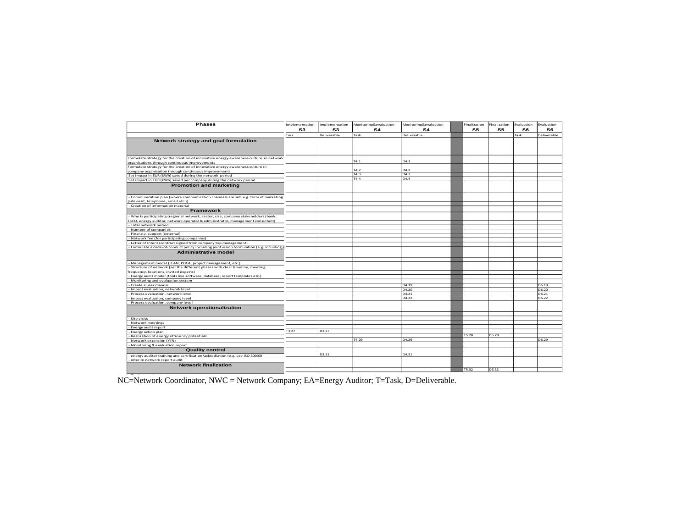| <b>Phases</b>                                                                             | Implementation | nplementation | Monitoring&evaluation | Monitoring&evaluation | Finalization | inalization       | Evaluation | Evaluation  |
|-------------------------------------------------------------------------------------------|----------------|---------------|-----------------------|-----------------------|--------------|-------------------|------------|-------------|
|                                                                                           | S3             | S3            | S4                    | S <sub>4</sub>        | S5           | S5                | S6         | S6          |
|                                                                                           |                |               |                       |                       |              |                   |            |             |
|                                                                                           | Task           | Deliverable   | Task                  | Deliverable           |              |                   | Task       | Deliverable |
| Network strategy and goal formulation                                                     |                |               |                       |                       |              |                   |            |             |
|                                                                                           |                |               |                       |                       |              |                   |            |             |
|                                                                                           |                |               |                       |                       |              |                   |            |             |
|                                                                                           |                |               |                       |                       |              |                   |            |             |
| Formulate strategy for the creation of innovative energy awareness culture in network     |                |               |                       |                       |              |                   |            |             |
| organisations through continuous improvements                                             |                |               | T4.1                  | D4.1                  |              |                   |            |             |
| Formulate strategy for the creation of innovative energy awareness culture in             |                |               |                       |                       |              |                   |            |             |
| company organisation through continuous improvements                                      |                |               |                       | D4.2                  |              |                   |            |             |
| Set impact in EUR (kWh) saved during the network period                                   |                |               | T4.3                  | D4.3                  |              |                   |            |             |
| Set impact in EUR (kWh) saved per company during the network period                       |                |               | T4.4                  | D4.4                  |              |                   |            |             |
| <b>Promotion and marketing</b>                                                            |                |               |                       |                       |              |                   |            |             |
|                                                                                           |                |               |                       |                       |              |                   |            |             |
|                                                                                           |                |               |                       |                       |              |                   |            |             |
| - Communication plan (where communication channels are set, e.g. form of marketing        |                |               |                       |                       |              |                   |            |             |
| (site-visit, telephone, email etc.))                                                      |                |               |                       |                       |              |                   |            |             |
| - Creation of information material                                                        |                |               |                       |                       |              |                   |            |             |
| Framework                                                                                 |                |               |                       |                       |              |                   |            |             |
|                                                                                           |                |               |                       |                       |              |                   |            |             |
| - Who is participating (regional network, sector, size, company stakeholders (bank,       |                |               |                       |                       |              |                   |            |             |
| ESCO, energy auditor, network operator & administrator, management consultant)            |                |               |                       |                       |              |                   |            |             |
| - Total network period                                                                    |                |               |                       |                       |              |                   |            |             |
| - Number of companies                                                                     |                |               |                       |                       |              |                   |            |             |
| - Financial support (external)                                                            |                |               |                       |                       |              |                   |            |             |
| - Network fee (for participating companies)                                               |                |               |                       |                       |              |                   |            |             |
| - Letter of Intent (contract signed from company top management)                          |                |               |                       |                       |              |                   |            |             |
| - Formulate a code-of-conduct policy including joint vision formulation (e.g. including g |                |               |                       |                       |              |                   |            |             |
| <b>Administrative model</b>                                                               |                |               |                       |                       |              |                   |            |             |
|                                                                                           |                |               |                       |                       |              |                   |            |             |
|                                                                                           |                |               |                       |                       |              |                   |            |             |
| - Management model (LEAN, PDCA, project management, etc.)                                 |                |               |                       |                       |              |                   |            |             |
| - Structure of network (set the different phases with clear timeline, meeting             |                |               |                       |                       |              |                   |            |             |
| frequency, locations, invited experts)                                                    |                |               |                       |                       |              |                   |            |             |
| - Energy audit model (tools like software, database, report templates etc.)               |                |               |                       |                       |              |                   |            |             |
| - Monitoring and evaluation system                                                        |                |               |                       |                       |              |                   |            |             |
| - Create a user manual                                                                    |                |               |                       | D4.19                 |              |                   |            | D6.19       |
| Impact evaluation, network level                                                          |                |               |                       | D4.20                 |              |                   |            | D6.20       |
| - Process evaluation, network level                                                       |                |               |                       | D4.21                 |              |                   |            | D6.21       |
| Impact evaluation, company level                                                          |                |               |                       | D4.22                 |              |                   |            | D6.22       |
| - Process evaluation, company level                                                       |                |               |                       |                       |              |                   |            |             |
| <b>Network operationalization</b>                                                         |                |               |                       |                       |              |                   |            |             |
|                                                                                           |                |               |                       |                       |              |                   |            |             |
|                                                                                           |                |               |                       |                       |              |                   |            |             |
| - Site visits                                                                             |                |               |                       |                       |              |                   |            |             |
| - Network meetings                                                                        |                |               |                       |                       |              |                   |            |             |
| - Energy audit report                                                                     |                |               |                       |                       |              |                   |            |             |
| - Energy action plan                                                                      | T3.27          | 3.27          |                       |                       |              |                   |            |             |
| - Realization of energy efficiency potentials                                             |                |               |                       |                       | T5.28        | D <sub>5.28</sub> |            |             |
| - Network extension (Y/N)                                                                 |                |               | T4.29                 | D4.29                 |              |                   |            | D6.29       |
| - Monitoring & evaluation report                                                          |                |               |                       |                       |              |                   |            |             |
| <b>Quality control</b>                                                                    |                |               |                       |                       |              |                   |            |             |
|                                                                                           |                |               |                       |                       |              |                   |            |             |
|                                                                                           |                | D3.31         |                       | D <sub>4</sub> .31    |              |                   |            |             |
| - energy auditor training and certification/ackrediation (e.g. use ISO 50003)             |                |               |                       |                       |              |                   |            |             |
| interim network report audit                                                              |                |               |                       |                       |              |                   |            |             |
| <b>Network finalization</b>                                                               |                |               |                       |                       |              |                   |            |             |
|                                                                                           |                |               |                       |                       | T5.32        | D <sub>5.32</sub> |            |             |

NC=Network Coordinator, NWC = Network Company; EA=Energy Auditor; T=Task, D=Deliverable.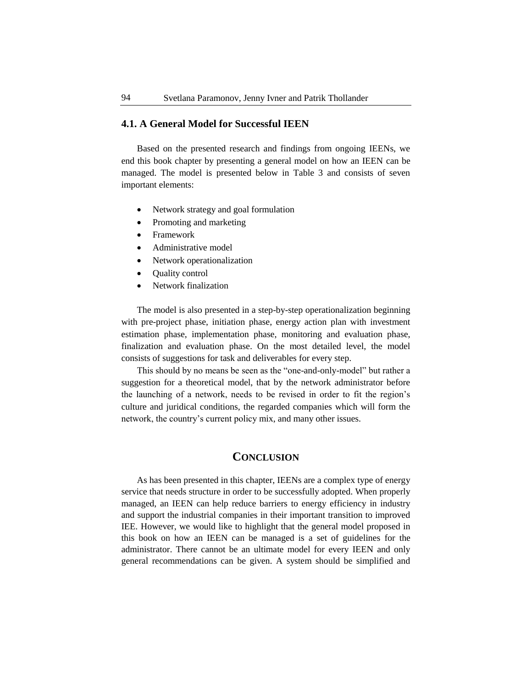# **4.1. A General Model for Successful IEEN**

Based on the presented research and findings from ongoing IEENs, we end this book chapter by presenting a general model on how an IEEN can be managed. The model is presented below in Table 3 and consists of seven important elements:

- Network strategy and goal formulation
- Promoting and marketing
- Framework
- Administrative model
- Network operationalization
- Quality control
- Network finalization

The model is also presented in a step-by-step operationalization beginning with pre-project phase, initiation phase, energy action plan with investment estimation phase, implementation phase, monitoring and evaluation phase, finalization and evaluation phase. On the most detailed level, the model consists of suggestions for task and deliverables for every step.

This should by no means be seen as the "one-and-only-model" but rather a suggestion for a theoretical model, that by the network administrator before the launching of a network, needs to be revised in order to fit the region's culture and juridical conditions, the regarded companies which will form the network, the country's current policy mix, and many other issues.

# **CONCLUSION**

As has been presented in this chapter, IEENs are a complex type of energy service that needs structure in order to be successfully adopted. When properly managed, an IEEN can help reduce barriers to energy efficiency in industry and support the industrial companies in their important transition to improved IEE. However, we would like to highlight that the general model proposed in this book on how an IEEN can be managed is a set of guidelines for the administrator. There cannot be an ultimate model for every IEEN and only general recommendations can be given. A system should be simplified and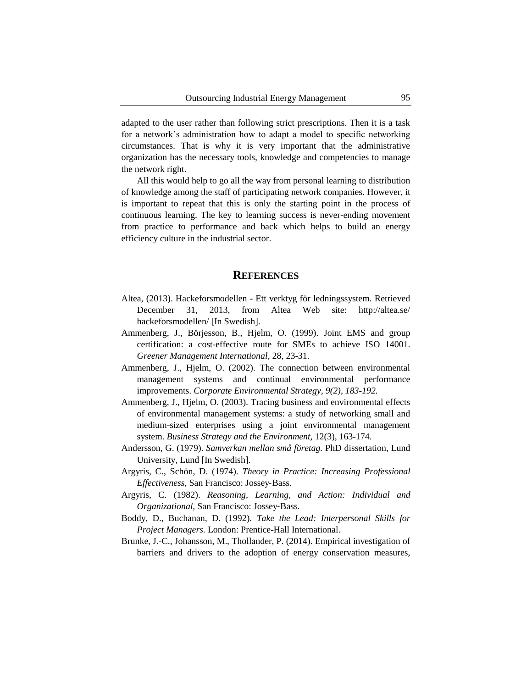adapted to the user rather than following strict prescriptions. Then it is a task for a network's administration how to adapt a model to specific networking circumstances. That is why it is very important that the administrative organization has the necessary tools, knowledge and competencies to manage the network right.

All this would help to go all the way from personal learning to distribution of knowledge among the staff of participating network companies. However, it is important to repeat that this is only the starting point in the process of continuous learning. The key to learning success is never-ending movement from practice to performance and back which helps to build an energy efficiency culture in the industrial sector.

#### **REFERENCES**

- Altea, (2013). Hackeforsmodellen Ett verktyg för ledningssystem. Retrieved December 31, 2013, from Altea Web site: http://altea.se/ hackeforsmodellen/ [In Swedish].
- Ammenberg, J., Börjesson, B., Hjelm, O. (1999). Joint EMS and group certification: a cost-effective route for SMEs to achieve ISO 14001. *Greener Management International,* 28, 23-31.
- Ammenberg, J., Hjelm, O. (2002). The connection between environmental management systems and continual environmental performance improvements. *Corporate Environmental Strategy, 9(2), 183-192.*
- Ammenberg, J., Hjelm, O. (2003). Tracing business and environmental effects of environmental management systems: a study of networking small and medium-sized enterprises using a joint environmental management system. *Business Strategy and the Environment,* 12(3), 163-174.
- Andersson, G. (1979). *Samverkan mellan små företag.* PhD dissertation, Lund University, Lund [In Swedish].
- Argyris, C., Schön, D. (1974). *Theory in Practice: Increasing Professional Effectiveness,* San Francisco: Jossey‐Bass.
- Argyris, C. (1982). *Reasoning, Learning, and Action: Individual and Organizational,* San Francisco: Jossey‐Bass.
- Boddy, D., Buchanan, D. (1992)*. Take the Lead: Interpersonal Skills for Project Managers.* London: Prentice-Hall International.
- Brunke, J.-C., Johansson, M., Thollander, P. (2014). Empirical investigation of barriers and drivers to the adoption of energy conservation measures,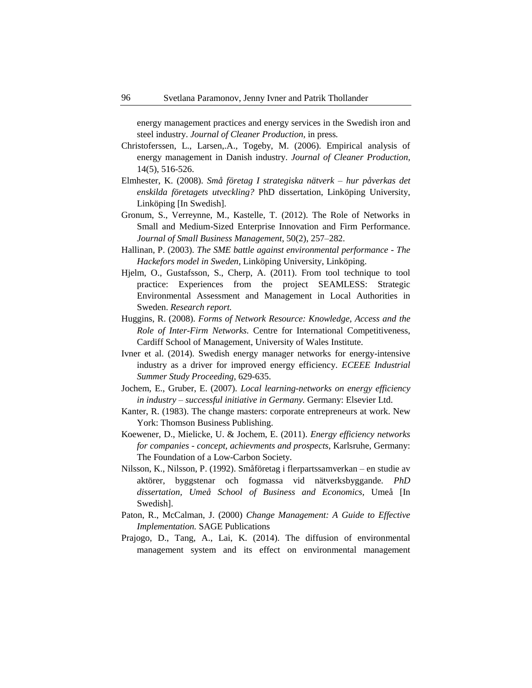energy management practices and energy services in the Swedish iron and steel industry. *Journal of Cleaner Production,* in press*.*

- Christoferssen, L., Larsen,.A., Togeby, M. (2006). Empirical analysis of energy management in Danish industry. *Journal of Cleaner Production,* 14(5), 516-526.
- Elmhester, K. (2008). *Små företag I strategiska nätverk – hur påverkas det enskilda företagets utveckling?* PhD dissertation, Linköping University, Linköping [In Swedish].
- Gronum, S., Verreynne, M., Kastelle, T. (2012). The Role of Networks in Small and Medium-Sized Enterprise Innovation and Firm Performance. *Journal of Small Business Management*, 50(2), 257–282.
- Hallinan, P. (2003). *The SME battle against environmental performance - The Hackefors model in Sweden,* Linköping University, Linköping.
- Hjelm, O., Gustafsson, S., Cherp, A. (2011). From tool technique to tool practice: Experiences from the project SEAMLESS: Strategic Environmental Assessment and Management in Local Authorities in Sweden. *Research report.*
- Huggins, R. (2008). *Forms of Network Resource: Knowledge, Access and the Role of Inter-Firm Networks.* Centre for International Competitiveness, Cardiff School of Management, University of Wales Institute.
- Ivner et al. (2014). Swedish energy manager networks for energy-intensive industry as a driver for improved energy efficiency. *ECEEE Industrial Summer Study Proceeding,* 629-635.
- Jochem, E., Gruber, E. (2007). *Local learning-networks on energy efficiency in industry – successful initiative in Germany.* Germany: Elsevier Ltd.
- Kanter, R. (1983). The change masters: corporate entrepreneurs at work. New York: Thomson Business Publishing.
- Koewener, D., Mielicke, U. & Jochem, E. (2011). *Energy efficiency networks for companies - concept, achievments and prospects,* Karlsruhe, Germany: The Foundation of a Low-Carbon Society.
- Nilsson, K., Nilsson, P. (1992). Småföretag i flerpartssamverkan en studie av aktörer, byggstenar och fogmassa vid nätverksbyggande*. PhD dissertation, Umeå School of Business and Economics,* Umeå [In Swedish].
- Paton, R., McCalman, J. (2000) *Change Management: A Guide to Effective Implementation.* SAGE Publications
- Prajogo, D., Tang, A., Lai, K. (2014). The diffusion of environmental management system and its effect on environmental management